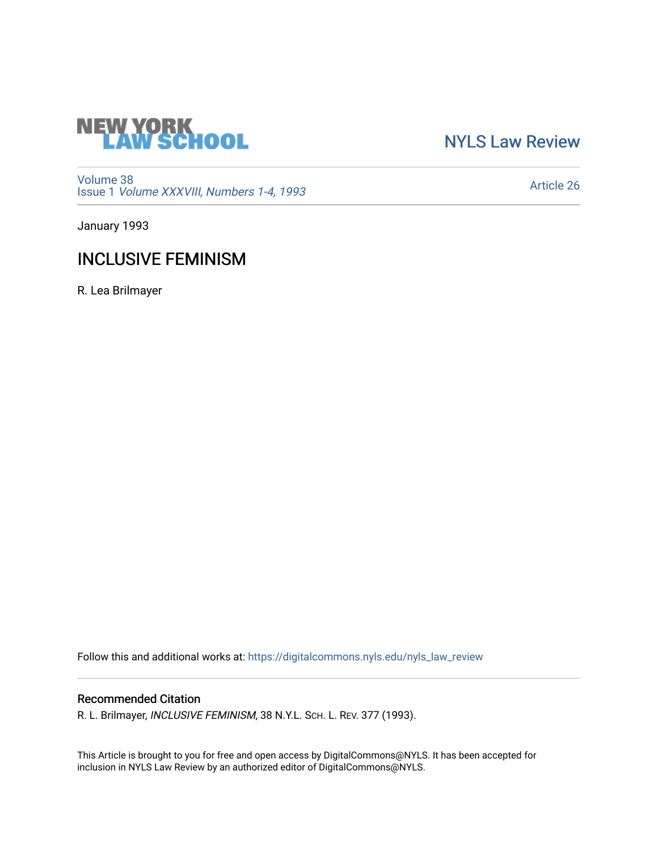

[NYLS Law Review](https://digitalcommons.nyls.edu/nyls_law_review) 

[Volume 38](https://digitalcommons.nyls.edu/nyls_law_review/vol38) Issue 1 [Volume XXXVIII, Numbers 1-4, 1993](https://digitalcommons.nyls.edu/nyls_law_review/vol38/iss1)

[Article 26](https://digitalcommons.nyls.edu/nyls_law_review/vol38/iss1/26) 

January 1993

# INCLUSIVE FEMINISM

R. Lea Brilmayer

Follow this and additional works at: [https://digitalcommons.nyls.edu/nyls\\_law\\_review](https://digitalcommons.nyls.edu/nyls_law_review?utm_source=digitalcommons.nyls.edu%2Fnyls_law_review%2Fvol38%2Fiss1%2F26&utm_medium=PDF&utm_campaign=PDFCoverPages) 

# Recommended Citation

R. L. Brilmayer, INCLUSIVE FEMINISM, 38 N.Y.L. SCH. L. REV. 377 (1993).

This Article is brought to you for free and open access by DigitalCommons@NYLS. It has been accepted for inclusion in NYLS Law Review by an authorized editor of DigitalCommons@NYLS.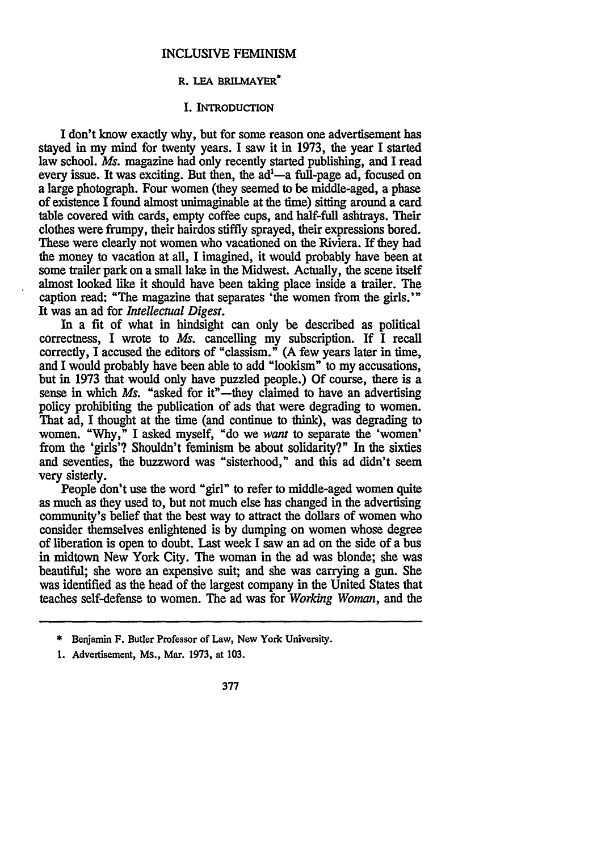#### **INCLUSIVE FEMINISM**

# **R. LEA BRILMAYER**

#### **I. INTRODUCTION**

I don't know exactly why, but for some reason one advertisement has stayed in my mind for twenty years. **I** saw it in **1973,** the year I started law school. *Ms.* magazine had only recently started publishing, and **I** read every issue. It was exciting. But then, the  $ad<sup>1</sup> - a$  full-page ad, focused on a large photograph. Four women (they seemed to be middle-aged, a phase of existence **I** found almost unimaginable at the **time)** sitting around a card table covered with cards, empty coffee cups, and half-full ashtrays. Their clothes were frumpy, their hairdos stiffly sprayed, their expressions bored. These were clearly not women who vacationed on the Riviera. If they had the money to vacation at all, I imagined, it would probably have been at some trailer park on a small lake in the Midwest. Actually, the scene itself almost looked like it should have been taking place inside a trailer. The caption read: "The magazine that separates 'the women from the girls.'" It was an ad for *Intellectual Digest.*

In a fit of what in hindsight can only be described as political correctness, I wrote to *Ms.* cancelling my subscription. If I recall correctly, I accused the editors of "classism." (A few years later in time, and I would probably have been able to add "bookism" to my accusations, but in **1973** that would only have puzzled people.) Of course, there is a sense in which *Ms*. "asked for it"—they claimed to have an advertising policy prohibiting the publication of ads that were degrading to women. That ad, I thought at the time (and continue to think), was degrading to women. "Why," I asked myself, "do we *want* to separate the 'women' from the 'girls'? Shouldn't feminism be about solidarity?" In the sixties and seventies, the buzzword was "sisterhood," and this ad didn't seem very sisterly.

People don't use the word "girl" to refer to middle-aged women quite as much as they used to, but not much else has changed in the advertising community's belief that the best way to attract the dollars of women who consider themselves enlightened is by dumping on women whose degree of liberation is open to doubt. Last week I saw an ad on the side of a bus in midtown New York City. The woman in the ad was blonde; she was beautiful; she wore an expensive suit; and she was carrying a gun. She was identified as the head of the largest company in the United States that teaches self-defense to women. The ad was for *Working Woman,* and the

<sup>\*</sup> Benjamin **F.** Butler Professor **of Law, New** York University.

**<sup>1.</sup>** Advertisement, **Ms., Mar. 1973, at 103.**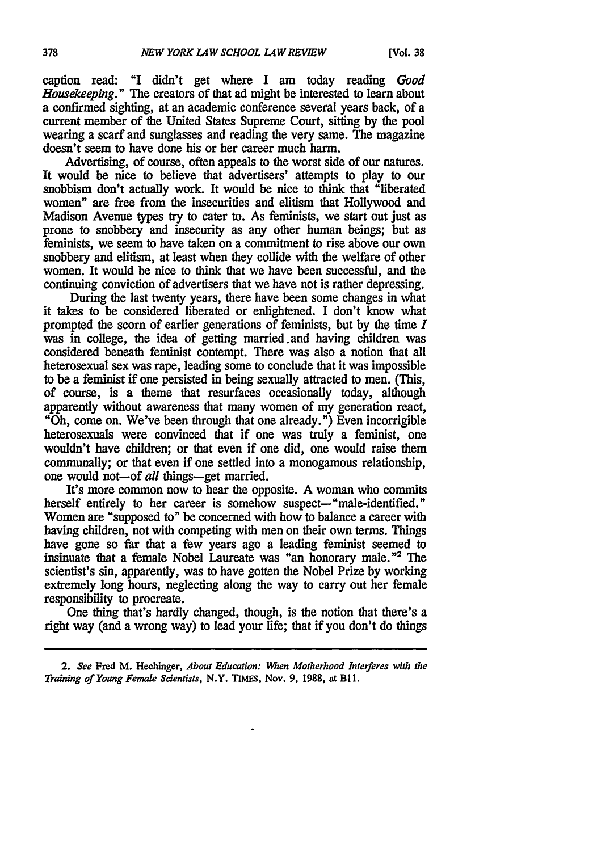caption read: **"I** didn't get where I am today reading *Good Housekeeping."* The creators of that ad might be interested to learn about a confirmed sighting, at an academic conference several years back, of a current member of the United States Supreme Court, sitting **by** the pool wearing a scarf and sunglasses and reading the very same. The magazine doesn't seem to have done his or her career much harm.

Advertising, of course, often appeals to the worst side of our natures. It would be nice to believe that advertisers' attempts **to** play to our snobbism don't actually work. It would be nice to think that "liberated women" are free from the insecurities and elitism that Hollywood and Madison Avenue types try to cater **to.** As feminists, we start out just as prone to snobbery and insecurity as any other human beings; but as feminists, we seem to have taken on a commitment to rise **above** our own snobbery and elitism, at least when they collide with the welfare of other women. It would be nice to think that we have been successful, and the continuing conviction of advertisers that we have not is rather depressing.

During the last twenty years, there have been some changes in what it takes to be considered liberated or enlightened. I don't know what prompted the scorn of earlier generations of feminists, but **by** the time *I* was in college, the idea of getting married and having children was considered beneath feminist contempt. There was also a notion that all heterosexual sex was rape, leading some to conclude that it was impossible to be a feminist if one persisted in being sexually attracted to men. (This, of course, is a theme that resurfaces occasionally today, although apparently without awareness that many women of my generation react, "Oh, come on. We've been through that one already.") Even incorrigible heterosexuals were convinced that if one was truly a feminist, one wouldn't have children; or that even if one did, one would raise them communally; or that even if one settled into a monogamous relationship, one would not-of all things-get married.

It's more common now to hear the opposite. A woman who commits herself entirely to her career is somehow suspect—"male-identified." Women are "supposed to" be concerned with how to balance a career with having children, not with competing with men on their own terms. Things have gone so far that a few years ago a leading feminist seemed to insinuate that a female Nobel Laureate was "an honorary male."2 The scientist's sin, apparently, was to have gotten the Nobel Prize by working extremely long hours, neglecting along the way to carry out her female responsibility to procreate.

One thing that's hardly changed, though, is the notion that there's a right way (and a wrong way) to lead your life; that if you don't do things

*<sup>2.</sup> See* Fred **M.** Hechinger, *About* Education: *When Motherhood Interferes with the Training of Young Female Scientists,* N.Y. **TIMES,** Nov. **9, 1988, at BI1.**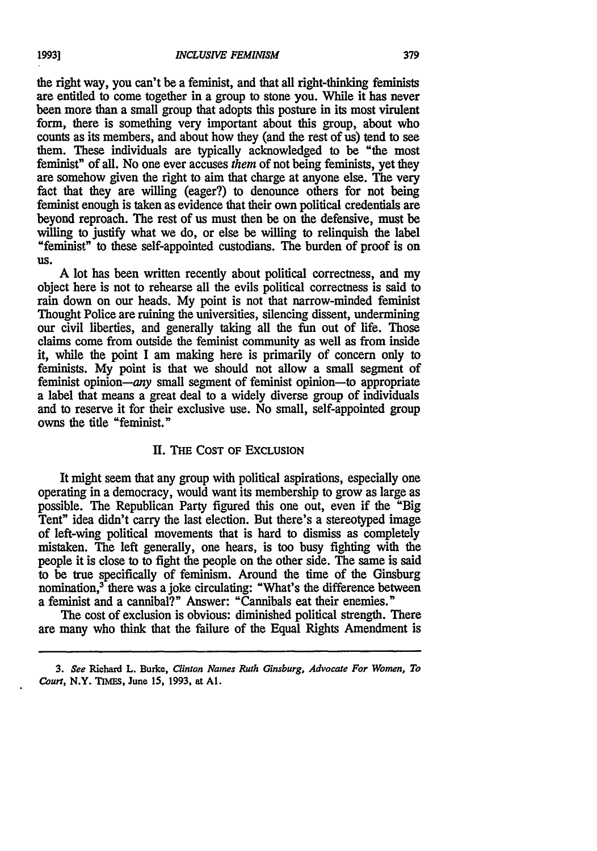the right way, you can't be a feminist, and that all right-thinking feminists are entitled to come together in a group to stone you. While it has never been more than a small group that adopts this posture in its most virulent form, there is something very important about this group, about who counts as its members, and about how they (and the rest of us) tend to see them. These individuals are typically acknowledged to be "the most feminist" of all. No one ever accuses *them* of not being feminists, yet they are somehow given the right to aim that charge at anyone else. The very fact that they are willing (eager?) to denounce others for not being feminist enough is taken as evidence that their own political credentials are beyond reproach. The rest of us must then be on the defensive, must be willing to justify what we do, or else be willing to relinquish the label "feminist" to these self-appointed custodians. The burden of proof is on **US.**

A lot has been written recently about political correctness, and my object here is not to rehearse all the evils political correctness is said to rain down on our heads. My point is not that narrow-minded feminist Thought Police are ruining the universities, silencing dissent, undermining our civil liberties, and generally taking all the fun out of life. Those claims come from outside the feminist community as well as from inside it, while the point I am making here is primarily of concern only to feminists. My point is that we should not allow a small segment of feminist opinion—any small segment of feminist opinion—to appropriate a label that means a great deal to a widely diverse group of individuals and to reserve it for their exclusive use. No small, self-appointed group owns the title "feminist."

## **11. THE COST OF EXCLUSION**

It might seem that any group with political aspirations, especially one operating in a democracy, would want its membership to grow as large as possible. The Republican Party figured this one out, even if the "Big Tent" idea didn't carry the last election. But there's a stereotyped image of left-wing political movements that is hard to dismiss as completely mistaken. The left generally, one hears, is too busy fighting with the people it is close to to fight the people on the other side. The same is said to be true specifically of feminism. Around the time of the Ginsburg nomination,<sup>3</sup> there was a joke circulating: "What's the difference between a feminist and a cannibal?" Answer: "Cannibals eat their enemies."

The cost of exclusion is obvious: diminished political strength. There are many who think that the failure of the Equal Rights Amendment is

**1993]**

**<sup>3.</sup> See Richard L. Burke, Clinton** *Names Ruth Ginsburg, Advocate For Women, To Court,* **N.Y. TIMES, June 15, 1993, at Al.**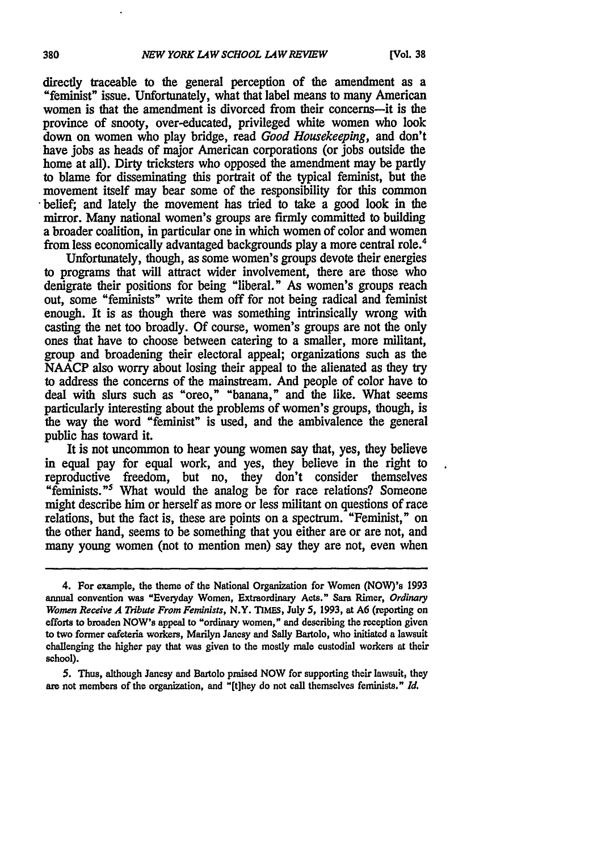directly traceable to the general perception of the amendment as a "feminist" issue. Unfortunately, what that label means to many American women is that the amendment is divorced from their concerns-it is the province of snooty, over-educated, privileged white women who look down on women who play bridge, read *Good Housekeeping,* and don't have jobs as heads of major American corporations (or jobs outside the home at all). Dirty tricksters who opposed the amendment may be partly to blame for disseminating this portrait of the typical feminist, but the movement itself may bear some of the responsibility for this common belief; and lately the movement has tried to take a good look in the mirror. Many national women's groups are firmly committed to building a broader coalition, in particular one in which women of color and women from less economically advantaged backgrounds play a more central role.4

Unfortunately, though, as some women's groups devote their energies to programs that will attract wider involvement, there are those who denigrate their positions for being "liberal." As women's groups reach out, some "feminists" write them off for not being radical and feminist enough. It is as though there was something intrinsically wrong with casting the net too broadly. **Of** course, women's groups are not the only ones that have to choose between catering to a smaller, more militant, group and broadening their electoral appeal; organizations such as the **NAACP** also worry about losing their appeal to the alienated as they try to address the concerns of the mainstream. And people of color have to deal with slurs such as "oreo," "banana," and the like. What seems particularly interesting about the problems of women's groups, though, is the way the word "feminist" is used, and the ambivalence the general public has toward it.

It is not uncommon to hear young women say that, yes, they believe in equal pay for equal work, and yes, they believe in the right to reproductive freedom, but no, they don't consider themselves "feminists."<sup>5</sup> What would the analog be for race relations? Someone might describe him or herself as more or less militant on questions of race relations, but the fact is, these are points on a spectrum. "Feminist," on the other hand, seems to be something that you either are or are not, and many young women (not to mention men) say they are not, even when

*5.* Thus, although Jancsy and Bartolo praised **NOW** for supporting their lawsuit, they **are** not members of the organization, and "[t]hey do not call themselves feminists." *Id.*

<sup>4.</sup> For example, the theme of the National Organization for Women (NOW)'s 1993 annual convention was "Everyday Women, Extraordinary Acts." **Sara** Rimer, *Ordinary Women Receive A Tribute From Feminists,* N.Y. **TIMES,** July *5,* **1993,** at **A6** (reporting on efforts to broaden NOW's appeal to "ordinary women," and describing the reception given to two former cafeteria workers, Marilyn Jancsy and Sally Bartolo, who initiated a lawsuit challenging the higher pay that was given to the mostly male custodial workers at their school).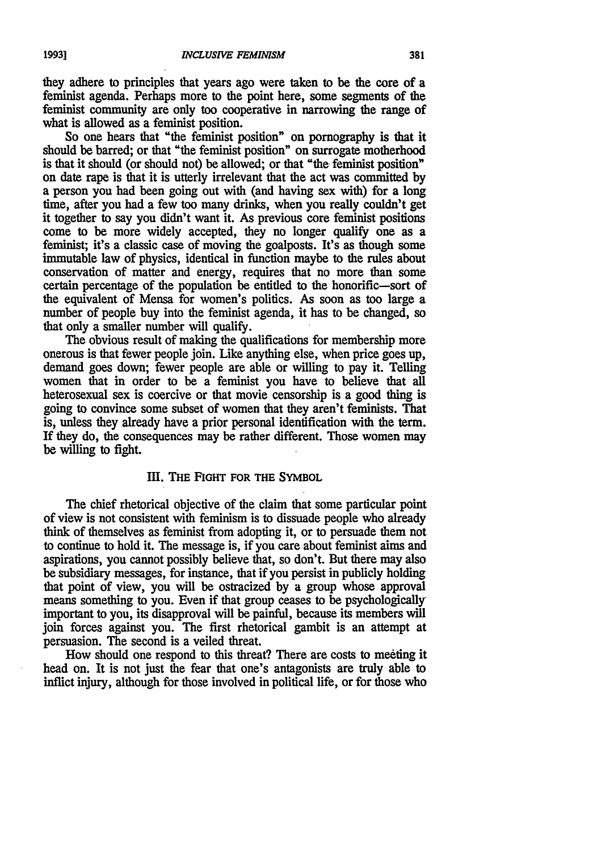they adhere to principles that years ago were taken to be the core of a feminist agenda. Perhaps more to the point here, some segments of the feminist community are only too cooperative in narrowing the range of what is allowed as a feminist position.

So one hears that "the feminist position" on pornography is that it should be barred; or that "the feminist position" on surrogate motherhood is that it should (or should not) be allowed; or that "the feminist position" on date rape is that it is utterly irrelevant that the act was committed **by** a person you had been going out with (and having sex with) for a long time, after you had a few too many drinks, when you really couldn't get it together to say you didn't want it. As previous core feminist positions come to be more widely accepted, they no longer qualify one as a feminist; it's a classic case of moving the goalposts. It's as though some immutable law of physics, identical in function maybe to the rules about conservation of matter and energy, requires that no more than some certain percentage of the population be entitled **to** the honorific-sort of the equivalent of Mensa for women's politics. As soon as too large a number of people buy into the feminist agenda, it has to be changed, so that only a smaller number will qualify.

The obvious result of making the qualifications for membership more onerous is that fewer people join. Like anything else, when price goes up, demand goes down; fewer people are able or willing to pay it. Telling women that in order to be a feminist you have to believe that all heterosexual sex is coercive or that movie censorship is a good thing is going to convince some subset of women that they aren't feminists. That is, unless they already have a prior personal identification with the term. If they do, the consequences may be rather different. Those women may be willing to fight.

## **III.** THE **FIGHT FOR THE** SYMBOL

The chief rhetorical objective of the claim that some particular point of view is not consistent with feminism is to dissuade people who already think of themselves as feminist from adopting it, or to persuade them not to continue to hold it. The message is, if you care about feminist aims and aspirations, you cannot possibly believe that, so don't. But there may also be subsidiary messages, for instance, that if you persist in publicly holding that point of view, you will be ostracized by a group whose approval means something to you. Even if that group ceases to be psychologically important to you, its disapproval will be painful, because its members will join forces against you. The first rhetorical gambit is an attempt at persuasion. The second is a veiled threat.

How should one respond to this threat? There are costs to meeting it head on. It is not just the fear that one's antagonists are truly able to inflict injury, although for those involved in political life, or for those who

381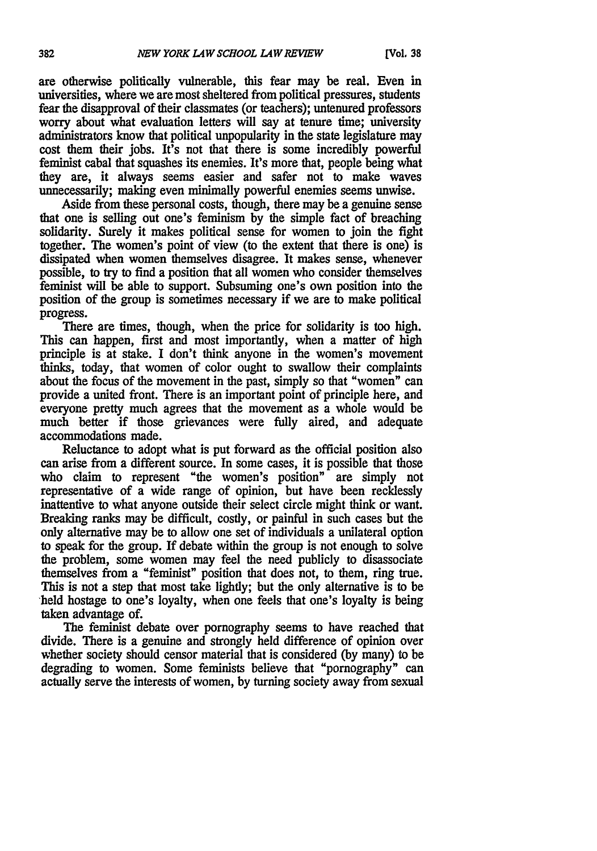are otherwise politically vulnerable, this fear may be real. Even in universities, where we are most sheltered from political pressures, students fear the disapproval of their classmates (or teachers); untenured professors worry about what evaluation letters will say at tenure time; university administrators know that political unpopularity in the state legislature may cost them their jobs. It's not that there is some incredibly powerful feminist cabal that squashes its enemies. It's more that, people being what they are, it always seems easier and safer not to make waves unnecessarily; making even minimally powerful enemies seems unwise.

Aside from these personal costs, though, there may be a genuine sense that one is selling out one's feminism by the simple fact of breaching solidarity. Surely it makes political sense for women to join the fight together. The women's point of view (to the extent that there is one) is dissipated when women themselves disagree. It makes sense, whenever possible, to try to find a position that all women who consider themselves feminist will be able to support. Subsuming one's own position into the position of the group is sometimes necessary if we are to make political progress.

There are times, though, when the price for solidarity is too high. This can happen, first and most importantly, when a matter of high principle is at stake. I don't think anyone in the women's movement thinks, today, that women of color ought to swallow their complaints about the focus of the movement in the past, simply so that "women" can provide a united front. There is an important point of principle here, and everyone pretty much agrees that the movement as a whole would be much better if those grievances were fully aired, and adequate accommodations made.

Reluctance to adopt what is put forward as the official position also can arise from a different source. In some cases, it is possible that those who claim to represent "the women's position" are simply not representative of a wide range of opinion, but have been recklessly inattentive to what anyone outside their select circle might think or want. Breaking ranks may be difficult, costly, or painful in such cases but the only alternative may be to allow one set of individuals a unilateral option to speak for the group. If debate within the group is not enough to solve the problem, some women may feel the need publicly to disassociate themselves from a "feminist" position that does not, to them, ring true. This is not a step that most take lightly; but the only alternative is to be held hostage to one's loyalty, when one feels that one's loyalty is being taken advantage of.

The feminist debate over pornography seems to have reached that divide. There is a genuine and strongly held difference of opinion over whether society should censor material that is considered **(by** many) to be degrading to women. Some feminists believe that "pornography" can actually serve the interests of women, by turning society away from sexual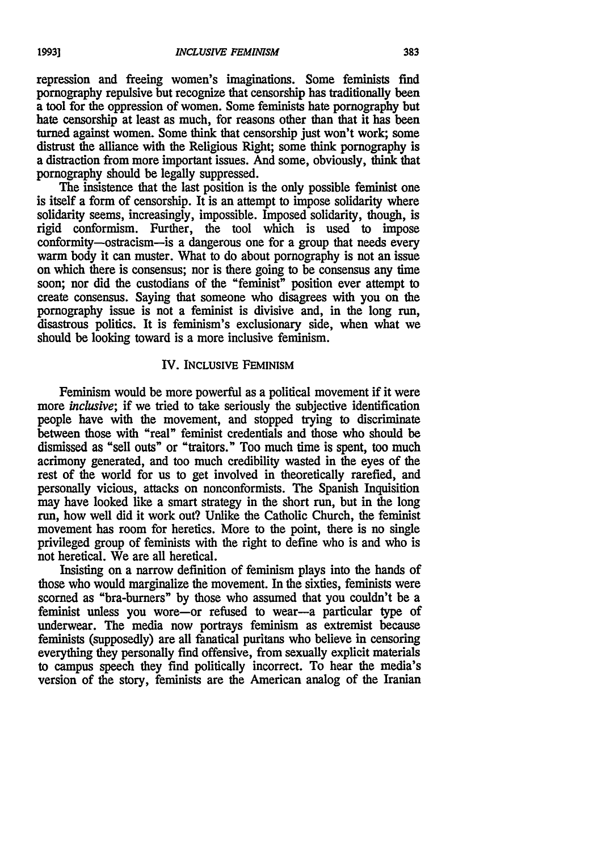repression and freeing women's imaginations. Some feminists find pornography repulsive but recognize that censorship has traditionally been a tool for the oppression of women. Some feminists hate pornography but hate censorship at least as much, for reasons other than that it has been turned against women. Some think that censorship just won't work; some distrust the alliance with the Religious Right; some think pornography is a distraction from more important issues. And some, obviously, think that pornography should be legally suppressed.

The insistence that the last position is the only possible feminist one is itself a form of censorship. It is an attempt to impose solidarity where solidarity seems, increasingly, impossible. Imposed solidarity, though, is rigid conformism. Further, the tool which is used to impose conformity-ostracism-is a dangerous one for a group that needs every warm body it can muster. What to do about pornography is not an issue on which there is consensus; nor is there going to be consensus any time soon; nor did the custodians of the "feminist" position ever attempt to create consensus. Saying that someone who disagrees with you on the pornography issue is not a feminist is divisive and, in the long run, disastrous politics. It is feminism's exclusionary side, when what we should be looking toward is a more inclusive feminism.

#### IV. INCLUSIVE FEMINISM

Feminism would be more powerful as a political movement if it were more *inclusive*; if we tried to take seriously the subjective identification people have with the movement, and stopped trying to discriminate between those with "real" feminist credentials and those who should be dismissed as "sell outs" or "traitors." Too much time is spent, too much acrimony generated, and too much credibility wasted in the eyes of the rest of the world for us to get involved in theoretically rarefied, and personally vicious, attacks on nonconformists. The Spanish Inquisition may have looked like a smart strategy in the short run, but in the long run, how well did it work out? Unlike the Catholic Church, the feminist movement has room for heretics. More to the point, there is no single privileged group of feminists with the right to define who is and who is not heretical. We are all heretical.

Insisting on a narrow definition of feminism plays into the hands of those who would marginalize the movement. In the sixties, feminists were scorned as "bra-burners" by those who assumed that you couldn't be a feminist unless you wore-or refused to wear-a particular type of underwear. The media now portrays feminism as extremist because feminists (supposedly) are all fanatical puritans who believe in censoring everything they personally find offensive, from sexually explicit materials to campus speech they find politically incorrect. To hear the media's version of the story, feminists are the American analog of the Iranian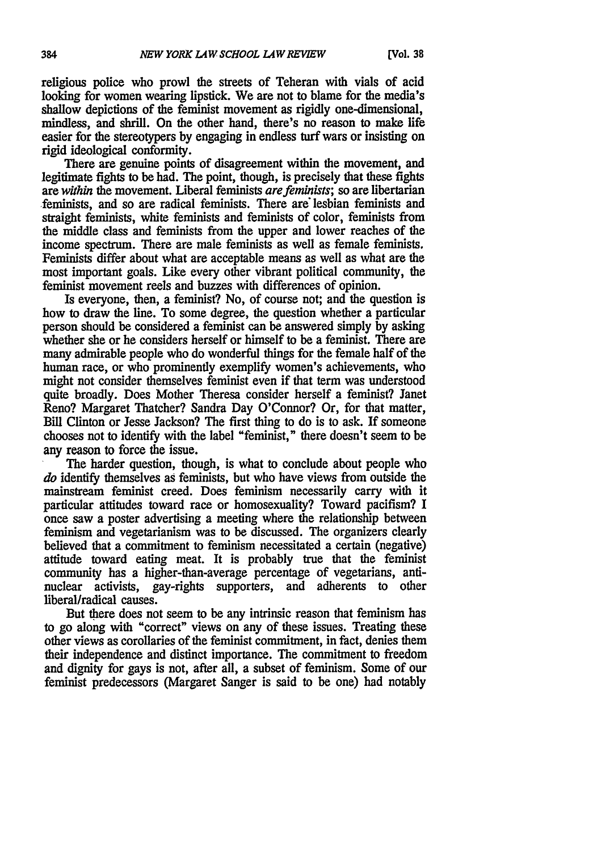religious police who prowl the streets of Teheran with vials of acid looking for women wearing lipstick. We are not to blame for the media's shallow depictions of the feminist movement as rigidly one-dimensional, mindless, and shrill. On the other hand, there's no reason to make life easier for the stereotypers **by** engaging in endless **turf** wars or insisting on rigid ideological conformity.

There are genuine points of disagreement within the movement, and legitimate fights to be had. The point, though, is precisely that these fights are *within* the movement. Liberal feminists *are feminists;* so are libertarian feminists, and so are radical feminists. There are' lesbian feminists and straight feminists, white feminists and feminists of color, feminists from the middle class and feminists from the upper and lower reaches of the income spectrum. There are male feminists as well as female feminists. Feminists differ about what are acceptable means as well as what are the most important goals. Like every other vibrant political community, the feminist movement reels and buzzes with differences of opinion.

Is everyone, then, a feminist? No, of course not; and the question is how to draw the line. To some degree, the question whether a particular person should be considered a feminist can be answered simply by asking whether she or he considers herself or himself to be a feminist. There are many admirable people who do wonderful things for the female half of the human race, or who prominently exemplify women's achievements, who might not consider themselves feminist even if that term was understood quite broadly. Does Mother Theresa consider herself a feminist? Janet Reno? Margaret Thatcher? Sandra Day O'Connor? Or, for that matter, Bill Clinton or Jesse Jackson? The first thing to do is to ask. If someone chooses not to identify with the label "feminist," there doesn't seem to be any reason to force the issue.

The harder question, though, is what to conclude about people who *do* identify themselves as feminists, but who have views from outside the mainstream feminist creed. Does feminism necessarily carry with it particular attitudes toward race or homosexuality? Toward pacifism? I once saw a poster advertising a meeting where the relationship between feminism and vegetarianism was to be discussed. The organizers clearly believed that a commitment to feminism necessitated a certain (negative) attitude toward eating meat. It is probably true that the feminist community has a higher-than-average percentage of vegetarians, antinuclear activists, gay-rights supporters, and adherents to other liberal/radical causes.

But there does not seem to be any intrinsic reason that feminism has to go along with "correct" views on any of these issues. Treating these other views as corollaries of the feminist commitment, in fact, denies them their independence and distinct importance. The commitment to freedom and dignity for gays is not, after all, a subset of feminism. Some of our feminist predecessors (Margaret Sanger is said to be one) had notably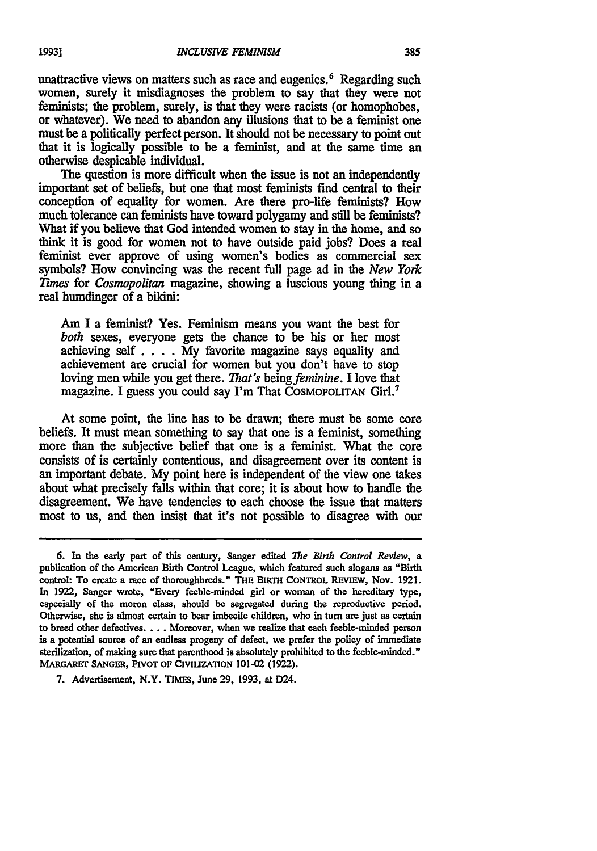unattractive views on matters such as race and eugenics.<sup>6</sup> Regarding such women, surely it misdiagnoses the problem to say that they were not feminists; the problem, surely, is that they were racists (or homophobes, or whatever). We need to abandon any illusions that to be a feminist one must be a politically perfect person. It should not be necessary to point out that it is logically possible to be a feminist, and at the same time an otherwise despicable individual.

important set of beliefs, but one that most feminists find central to their conception of equality for women. Are there pro-life feminists? How much tolerance can feminists have toward polygamy and still be feminists? What if you believe that God intended women to stay in the home, and **so** think it is good for women not to have outside paid jobs? Does a real feminist ever approve of using women's bodies as commercial sex symbols? How convincing was the recent full page ad in the *New York Times* for *Cosmopolitan* magazine, showing a luscious young thing in a real humdinger of a bikini:

Am I a feminist? Yes. Feminism means you want the best for *both* sexes, everyone gets the chance to be his or her most achieving self.... My favorite magazine says equality and achievement are crucial for women but you don't have to stop loving men while you get there. *That's* being *feminine*. I love that magazine. I guess you could say I'm That COSMOPOLITAN Girl.<sup>7</sup>

At some point, the line has to be drawn; there must be some core beliefs. It must mean something to say that one is a feminist, something more than the subjective belief that one is a feminist. What the core consists of is certainly contentious, and disagreement over its content is an important debate. My point here is independent of the view one takes about what precisely falls within that core; it is about how to handle the disagreement. We have tendencies to each choose the issue that matters most to us, and then insist that it's not possible to disagree with our

**<sup>6.</sup>** In the early part of this century, Sanger edited *The Birth Control Review, a* publication of the American Birth Control League, which featured such slogans as "Birth control: To create a race of thoroughbreds." **THE BIRTH CONTROL REVIEW,** Nov. **1921.** In **1922,** Sanger wrote, "Every feeble-minded girl or woman of the hereditary type, especially of the moron class, should be segregated during the reproductive period. Otherwise, she is almost certain to bear imbecile children, who in turn are just as certain to breed other defectives **....** Moreover, when we realize that each feeble-minded person is a potential source of an endless progeny of defect, we prefer the policy of immediate sterilization, of making sure that parenthood is absolutely prohibited to the feeble-minded." **MARGARET SANGER, PIVOT** OF **CIVIUZATION** 101-02 (1922).

**<sup>7.</sup>** Advertisement, N.Y. **lIMEs,** June 29, 1993, at D24.